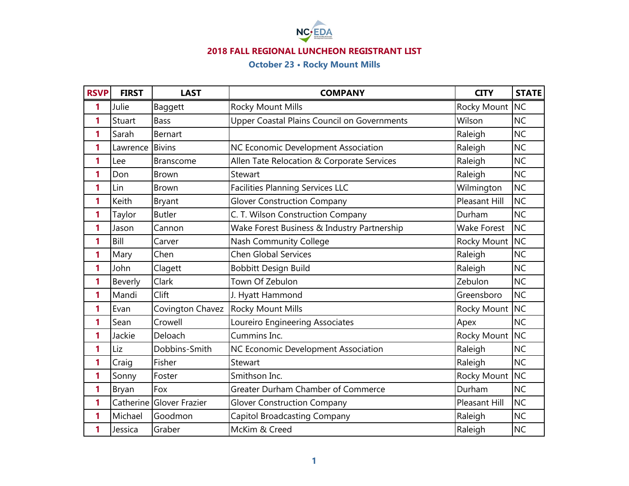

## **2018 FALL REGIONAL LUNCHEON REGISTRANT LIST**

# **October 23 • Rocky Mount Mills**

| <b>RSVP</b> | <b>FIRST</b> | <b>LAST</b>              | <b>COMPANY</b>                              | <b>CITY</b>          | <b>STATE</b> |
|-------------|--------------|--------------------------|---------------------------------------------|----------------------|--------------|
| 1           | Julie        | Baggett                  | Rocky Mount Mills                           | Rocky Mount NC       |              |
| 1           | Stuart       | <b>Bass</b>              | Upper Coastal Plains Council on Governments | Wilson               | <b>NC</b>    |
| 1           | Sarah        | Bernart                  |                                             | Raleigh              | <b>NC</b>    |
| 1           | Lawrence     | <b>Bivins</b>            | NC Economic Development Association         | Raleigh              | <b>NC</b>    |
| 1           | Lee          | Branscome                | Allen Tate Relocation & Corporate Services  | Raleigh              | <b>NC</b>    |
| 1           | Don          | <b>Brown</b>             | Stewart                                     | Raleigh              | <b>NC</b>    |
| 1           | Lin          | <b>Brown</b>             | <b>Facilities Planning Services LLC</b>     | Wilmington           | <b>NC</b>    |
| 1           | Keith        | Bryant                   | <b>Glover Construction Company</b>          | Pleasant Hill        | <b>NC</b>    |
| 1           | Taylor       | <b>Butler</b>            | C. T. Wilson Construction Company           | Durham               | <b>NC</b>    |
| 1           | Jason        | Cannon                   | Wake Forest Business & Industry Partnership | <b>Wake Forest</b>   | <b>NC</b>    |
| 1           | Bill         | Carver                   | <b>Nash Community College</b>               | Rocky Mount          | <b>NC</b>    |
| 1           | Mary         | Chen                     | <b>Chen Global Services</b>                 | Raleigh              | <b>NC</b>    |
| 1           | John         | Clagett                  | <b>Bobbitt Design Build</b>                 | Raleigh              | <b>NC</b>    |
| 1           | Beverly      | Clark                    | Town Of Zebulon                             | Zebulon              | <b>NC</b>    |
| 1           | Mandi        | Clift                    | J. Hyatt Hammond                            | Greensboro           | <b>NC</b>    |
| 1           | Evan         | Covington Chavez         | Rocky Mount Mills                           | Rocky Mount          | <b>NC</b>    |
| 1           | Sean         | Crowell                  | Loureiro Engineering Associates             | Apex                 | <b>NC</b>    |
| 1           | Jackie       | Deloach                  | Cummins Inc.                                | Rocky Mount NC       |              |
| 1           | Liz          | Dobbins-Smith            | NC Economic Development Association         | Raleigh              | <b>NC</b>    |
| 1           | Craig        | Fisher                   | Stewart                                     | Raleigh              | <b>NC</b>    |
| 1           | Sonny        | Foster                   | Smithson Inc.                               | Rocky Mount NC       |              |
| 1           | Bryan        | Fox                      | <b>Greater Durham Chamber of Commerce</b>   | Durham               | <b>NC</b>    |
| 1           |              | Catherine Glover Frazier | <b>Glover Construction Company</b>          | <b>Pleasant Hill</b> | <b>NC</b>    |
| 1           | Michael      | Goodmon                  | <b>Capitol Broadcasting Company</b>         | Raleigh              | <b>NC</b>    |
| 1           | Jessica      | Graber                   | McKim & Creed                               | Raleigh              | NC           |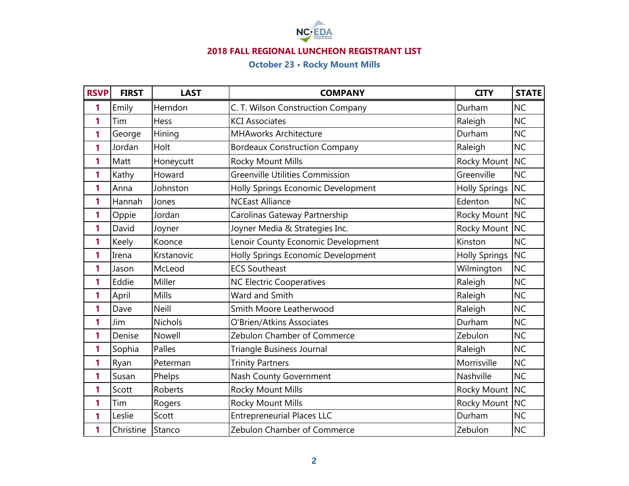

## **2018 FALL REGIONAL LUNCHEON REGISTRANT LIST**

## **October 23 • Rocky Mount Mills**

| <b>RSVP</b> | <b>FIRST</b> | <b>LAST</b>  | <b>COMPANY</b>                         | <b>CITY</b>          | <b>STATE</b> |
|-------------|--------------|--------------|----------------------------------------|----------------------|--------------|
| 1           | Emily        | Herndon      | C. T. Wilson Construction Company      | Durham               | <b>NC</b>    |
| 1           | Tim          | Hess         | <b>KCI Associates</b>                  | Raleigh              | <b>NC</b>    |
| 1           | George       | Hining       | <b>MHAworks Architecture</b>           | Durham               | <b>NC</b>    |
| 1           | Jordan       | Holt         | <b>Bordeaux Construction Company</b>   | Raleigh              | <b>NC</b>    |
| 1           | Matt         | Honeycutt    | Rocky Mount Mills                      | Rocky Mount NC       |              |
| 1           | Kathy        | Howard       | <b>Greenville Utilities Commission</b> | Greenville           | <b>NC</b>    |
| 1           | Anna         | Johnston     | Holly Springs Economic Development     | <b>Holly Springs</b> | <b>NC</b>    |
| 1           | Hannah       | Jones        | <b>NCEast Alliance</b>                 | Edenton              | <b>NC</b>    |
| 1           | Oppie        | Jordan       | Carolinas Gateway Partnership          | Rocky Mount          | <b>NC</b>    |
| 1           | David        | Joyner       | Joyner Media & Strategies Inc.         | Rocky Mount NC       |              |
| 1           | Keely        | Koonce       | Lenoir County Economic Development     | Kinston              | <b>NC</b>    |
| 1           | Irena        | Krstanovic   | Holly Springs Economic Development     | <b>Holly Springs</b> | <b>NC</b>    |
| 1           | Jason        | McLeod       | <b>ECS Southeast</b>                   | Wilmington           | <b>NC</b>    |
| 1           | Eddie        | Miller       | <b>NC Electric Cooperatives</b>        | Raleigh              | <b>NC</b>    |
| 1           | April        | Mills        | Ward and Smith                         | Raleigh              | <b>NC</b>    |
| 1           | Dave         | <b>Neill</b> | Smith Moore Leatherwood                | Raleigh              | <b>NC</b>    |
| 1           | Jim          | Nichols      | O'Brien/Atkins Associates              | Durham               | <b>NC</b>    |
| 1           | Denise       | Nowell       | Zebulon Chamber of Commerce            | Zebulon              | <b>NC</b>    |
| 1           | Sophia       | Palles       | <b>Triangle Business Journal</b>       | Raleigh              | <b>NC</b>    |
| 1           | Ryan         | Peterman     | <b>Trinity Partners</b>                | Morrisville          | <b>NC</b>    |
| 1           | Susan        | Phelps       | Nash County Government                 | Nashville            | <b>NC</b>    |
| 1           | Scott        | Roberts      | Rocky Mount Mills                      | Rocky Mount NC       |              |
| 1           | Tim          | Rogers       | Rocky Mount Mills                      | Rocky Mount NC       |              |
| 1           | Leslie       | Scott        | <b>Entrepreneurial Places LLC</b>      | Durham               | <b>NC</b>    |
| 1           | Christine    | Stanco       | Zebulon Chamber of Commerce            | Zebulon              | <b>NC</b>    |